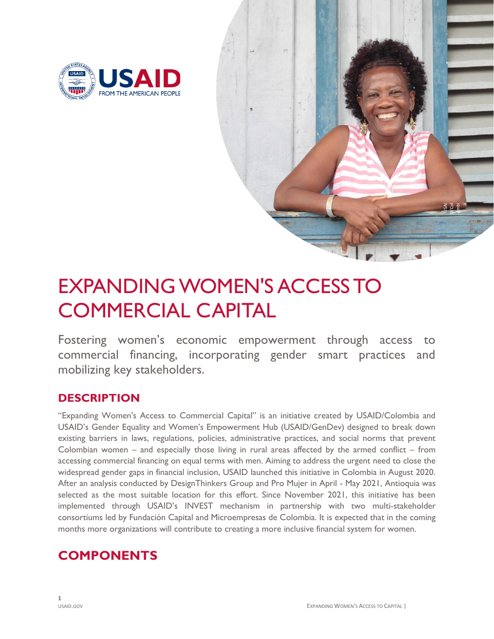



# EXPANDING WOMEN'S ACCESS TO COMMERCIAL CAPITAL

Fostering women's economic empowerment through access to commercial financing, incorporating gender smart practices and mobilizing key stakeholders.

## **DESCRIPTION**

"Expanding Women's Access to Commercial Capital" is an initiative created by USAID/Colombia and USAID's Gender Equality and Women's Empowerment Hub (USAID/GenDev) designed to break down existing barriers in laws, regulations, policies, administrative practices, and social norms that prevent Colombian women – and especially those living in rural areas affected by the armed conflict – from accessing commercial financing on equal terms with men. Aiming to address the urgent need to close the widespread gender gaps in financial inclusion, USAID launched this initiative in Colombia in August 2020. After an analysis conducted by DesignThinkers Group and Pro Mujer in April - May 2021, Antioquia was selected as the most suitable location for this effort. Since November 2021, this initiative has been implemented through USAID's INVEST mechanism in partnership with two multi-stakeholder consortiums led by Fundación Capital and Microempresas de Colombia. It is expected that in the coming months more organizations will contribute to creating a more inclusive financial system for women.

# **COMPONENTS**